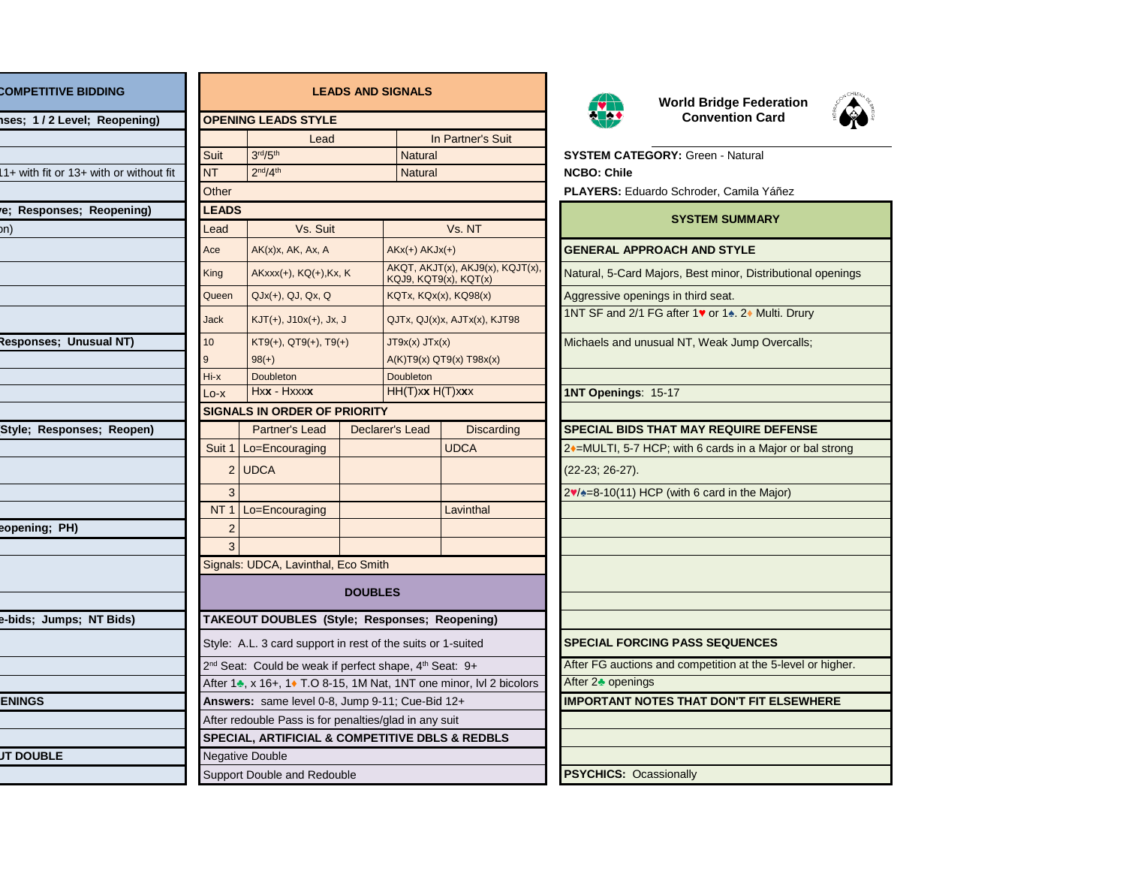| <b>COMPETITIVE BIDDING</b>              |              | <b>LEADS AND S</b>                                    |                                                                                                                                                                |                |  |  |
|-----------------------------------------|--------------|-------------------------------------------------------|----------------------------------------------------------------------------------------------------------------------------------------------------------------|----------------|--|--|
| ses; 1/2 Level; Reopening)              |              |                                                       | <b>OPENING LEADS STYLE</b>                                                                                                                                     |                |  |  |
|                                         |              |                                                       | Lead                                                                                                                                                           |                |  |  |
|                                         | <b>Suit</b>  |                                                       | 3 <sup>rd</sup> /5 <sup>th</sup>                                                                                                                               |                |  |  |
| 11+ with fit or 13+ with or without fit | NT           |                                                       | 2 <sup>nd</sup> /4 <sup>th</sup>                                                                                                                               |                |  |  |
|                                         | Other        |                                                       |                                                                                                                                                                |                |  |  |
| e; Responses; Reopening)                | <b>LEADS</b> |                                                       |                                                                                                                                                                |                |  |  |
| on)                                     | Lead         |                                                       | Vs. Suit                                                                                                                                                       |                |  |  |
|                                         | Ace          |                                                       | $AK(x)x$ , $AK$ , $Ax$ , $A$                                                                                                                                   |                |  |  |
|                                         | King         |                                                       | AKxxx(+), KQ(+), Kx, K                                                                                                                                         |                |  |  |
|                                         | Queen        |                                                       | $QJx(+)$ , $QJ$ , $Qx$ , $Q$                                                                                                                                   |                |  |  |
|                                         | <b>Jack</b>  |                                                       | $KJT(+), J10x(+), Jx, J$                                                                                                                                       |                |  |  |
| Responses; Unusual NT)                  | 10           |                                                       | $KT9(+), QT9(+), T9(+)$                                                                                                                                        |                |  |  |
|                                         | 9            |                                                       | $98(+)$                                                                                                                                                        |                |  |  |
|                                         | $Hi - x$     |                                                       | <b>Doubleton</b>                                                                                                                                               |                |  |  |
|                                         | $Lo - x$     |                                                       | Hxx - Hxxxx                                                                                                                                                    |                |  |  |
|                                         |              |                                                       | <b>SIGNALS IN ORDER OF PRIORITY</b>                                                                                                                            |                |  |  |
| Style; Responses; Reopen)               |              |                                                       | Partner's Lead                                                                                                                                                 | <b>Declare</b> |  |  |
|                                         |              |                                                       | Suit 1   Lo=Encouraging                                                                                                                                        |                |  |  |
|                                         |              |                                                       | $2$ UDCA                                                                                                                                                       |                |  |  |
|                                         |              | 3                                                     |                                                                                                                                                                |                |  |  |
|                                         |              |                                                       | NT $1$ Lo=Encouraging                                                                                                                                          |                |  |  |
| eopening; PH)                           |              | $\overline{c}$                                        |                                                                                                                                                                |                |  |  |
|                                         |              | 3                                                     |                                                                                                                                                                |                |  |  |
|                                         |              |                                                       | Signals: UDCA, Lavinthal, Eco Smith                                                                                                                            |                |  |  |
|                                         |              |                                                       |                                                                                                                                                                | <b>DOUBLE</b>  |  |  |
| e-bids; Jumps; NT Bids)                 |              |                                                       | TAKEOUT DOUBLES (Style; Resp                                                                                                                                   |                |  |  |
|                                         |              |                                                       | Style: A.L. 3 card support in rest of tl<br>2 <sup>nd</sup> Seat: Could be weak if perfect sh<br>After 1 <sup>*</sup> , x 16+, 1 <sup>*</sup> T.O 8-15, 1M Nat |                |  |  |
|                                         |              |                                                       |                                                                                                                                                                |                |  |  |
|                                         |              |                                                       |                                                                                                                                                                |                |  |  |
| <b>ENINGS</b>                           |              |                                                       | Answers: same level 0-8, Jump 9-1<br>After redouble Pass is for penalties/g                                                                                    |                |  |  |
|                                         |              |                                                       |                                                                                                                                                                |                |  |  |
|                                         |              |                                                       | <b>SPECIAL, ARTIFICIAL &amp; COMPETI</b>                                                                                                                       |                |  |  |
| <b>JT DOUBLE</b>                        |              | <b>Negative Double</b><br>Support Double and Redouble |                                                                                                                                                                |                |  |  |
|                                         |              |                                                       |                                                                                                                                                                |                |  |  |

| <b>COMPETITIVE BIDDING</b>                 | <b>LEADS AND SIGNALS</b>                              |                                                                                                                                               |  | <b>World Bridge Federa</b> |                                                           |                               |                                                   |
|--------------------------------------------|-------------------------------------------------------|-----------------------------------------------------------------------------------------------------------------------------------------------|--|----------------------------|-----------------------------------------------------------|-------------------------------|---------------------------------------------------|
| ises; 1/2 Level; Reopening)                |                                                       | <b>OPENING LEADS STYLE</b>                                                                                                                    |  |                            |                                                           | <b>Convention Card</b>        |                                                   |
|                                            |                                                       | Lead                                                                                                                                          |  |                            | In Partner's Suit                                         |                               |                                                   |
|                                            | Suit                                                  | 3 <sup>rd</sup> /5 <sup>th</sup>                                                                                                              |  | <b>Natural</b>             |                                                           |                               | <b>SYSTEM CATEGORY: Green - Natural</b>           |
| $1+$ with fit or $13+$ with or without fit | <b>NT</b>                                             | 2 <sup>nd</sup> /4 <sup>th</sup>                                                                                                              |  | <b>Natural</b>             |                                                           | <b>NCBO: Chile</b>            |                                                   |
|                                            | Other                                                 |                                                                                                                                               |  |                            |                                                           |                               | PLAYERS: Eduardo Schroder, Camila Yáño            |
| e; Responses; Reopening)                   | <b>LEADS</b>                                          |                                                                                                                                               |  |                            |                                                           |                               | <b>SYSTEM SUMMARY</b>                             |
| bn)                                        | Lead                                                  | Vs. Suit                                                                                                                                      |  |                            | Vs. NT                                                    |                               |                                                   |
|                                            | Ace                                                   | $AK(x)x$ , $AK$ , $Ax$ , $A$                                                                                                                  |  | $AKx(+) AKJx(+)$           |                                                           |                               | <b>GENERAL APPROACH AND STYLE</b>                 |
|                                            | King                                                  | $AKxxx(+)$ , $KQ(+)$ , $Kx$ , $K$                                                                                                             |  |                            | AKQT, AKJT(x), AKJ9(x), KQJT(x),<br>KQJ9, KQT9(x), KQT(x) |                               | Natural, 5-Card Majors, Best minor, Distribu      |
|                                            | Queen                                                 | $QJx(+)$ , $QJ$ , $Qx$ , $Q$                                                                                                                  |  |                            | KQTx, KQx(x), KQ98(x)                                     |                               | Aggressive openings in third seat.                |
|                                            | <b>Jack</b>                                           | $KJT(+), J10x(+), Jx, J$                                                                                                                      |  |                            | QJTx, QJ(x)x, AJTx(x), KJT98                              |                               | 1NT SF and 2/1 FG after 1v or 14. 2+ Multi.       |
| Responses; Unusual NT)                     | 10                                                    | $KT9(+), QT9(+), T9(+)$                                                                                                                       |  | $JTyx(x)$ $JTx(x)$         |                                                           |                               | Michaels and unusual NT, Weak Jump Over           |
|                                            | 9                                                     | $98(+)$                                                                                                                                       |  |                            | A(K)T9(x) QT9(x) T98x(x)                                  |                               |                                                   |
|                                            | Hi-x                                                  | Doubleton                                                                                                                                     |  | <b>Doubleton</b>           |                                                           |                               |                                                   |
|                                            | Lo-x                                                  | Hxx - Hxxxx                                                                                                                                   |  | HH(T)xx H(T)xxx            |                                                           | 1NT Openings: 15-17           |                                                   |
|                                            |                                                       | <b>SIGNALS IN ORDER OF PRIORITY</b>                                                                                                           |  |                            |                                                           |                               |                                                   |
| Style; Responses; Reopen)                  |                                                       | Partner's Lead                                                                                                                                |  | Declarer's Lead            | <b>Discarding</b>                                         |                               | <b>SPECIAL BIDS THAT MAY REQUIRE DEF</b>          |
|                                            |                                                       | Suit 1   Lo=Encouraging                                                                                                                       |  |                            | <b>UDCA</b>                                               |                               | 2♦=MULTI, 5-7 HCP; with 6 cards in a Major        |
|                                            |                                                       | 2 UDCA                                                                                                                                        |  |                            |                                                           | $(22-23; 26-27).$             |                                                   |
|                                            | 3                                                     |                                                                                                                                               |  |                            |                                                           |                               | $2\sqrt{2}=8-10(11)$ HCP (with 6 card in the Majo |
|                                            | NT <sub>1</sub>                                       | Lo=Encouraging                                                                                                                                |  |                            | Lavinthal                                                 |                               |                                                   |
| eopening; PH)                              | $\overline{2}$                                        |                                                                                                                                               |  |                            |                                                           |                               |                                                   |
|                                            |                                                       |                                                                                                                                               |  |                            |                                                           |                               |                                                   |
|                                            | Signals: UDCA, Lavinthal, Eco Smith                   |                                                                                                                                               |  |                            |                                                           |                               |                                                   |
|                                            | <b>DOUBLES</b>                                        |                                                                                                                                               |  |                            |                                                           |                               |                                                   |
| e-bids; Jumps; NT Bids)                    |                                                       | TAKEOUT DOUBLES (Style; Responses; Reopening)                                                                                                 |  |                            |                                                           |                               |                                                   |
|                                            |                                                       | Style: A.L. 3 card support in rest of the suits or 1-suited<br>2 <sup>nd</sup> Seat: Could be weak if perfect shape, 4 <sup>th</sup> Seat: 9+ |  |                            | <b>SPECIAL FORCING PASS SEQUENCES</b>                     |                               |                                                   |
|                                            |                                                       |                                                                                                                                               |  |                            | After FG auctions and competition at the 5-I              |                               |                                                   |
|                                            |                                                       | After 14, x 16+, 1+ T.O 8-15, 1M Nat, 1NT one minor, IvI 2 bicolors                                                                           |  |                            | After 2 <sup>th</sup> openings                            |                               |                                                   |
| <b>ENINGS</b>                              |                                                       | Answers: same level 0-8, Jump 9-11; Cue-Bid 12+                                                                                               |  |                            | <b>IMPORTANT NOTES THAT DON'T FIT EL</b>                  |                               |                                                   |
|                                            | After redouble Pass is for penalties/glad in any suit |                                                                                                                                               |  |                            |                                                           |                               |                                                   |
|                                            |                                                       | SPECIAL, ARTIFICIAL & COMPETITIVE DBLS & REDBLS                                                                                               |  |                            |                                                           |                               |                                                   |
| <b>JT DOUBLE</b>                           | <b>Negative Double</b>                                |                                                                                                                                               |  |                            |                                                           |                               |                                                   |
|                                            |                                                       | Support Double and Redouble                                                                                                                   |  |                            |                                                           | <b>PSYCHICS: Ocassionally</b> |                                                   |



**World Bridge Federation**



**STEM CATEGORY: Green - Natural** CBO: Chile **AYERS:** Eduardo Schroder, Camila Yáñez

## **SYSTEM SUMMARY ENERAL APPROACH AND STYLE** atural, 5-Card Majors, Best minor, Distributional openings gressive openings in third seat. JT SF and 2/1 FG after 1♥ or 1♠. 2♦ Multi. Drury chaels and unusual NT, Weak Jump Overcalls; IT Openings: 15-17 **PECIAL BIDS THAT MAY REQUIRE DEFENSE** =MULTI, 5-7 HCP; with 6 cards in a Major or bal strong 2-23; 26-27).  $1/ಿ = 8-10(11)$  HCP (with 6 card in the Major) **PECIAL FORCING PASS SEQUENCES** ter FG auctions and competition at the 5-level or higher. ter 2♣ openings **PORTANT NOTES THAT DON'T FIT ELSEWHERE**